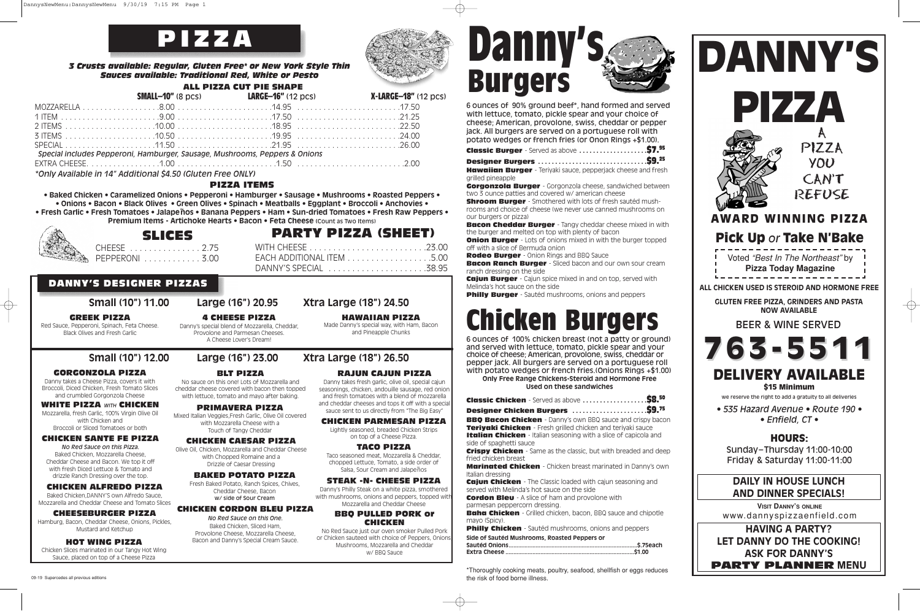## **CHICKEN PARMESAN PIZZA**

Lightly seasoned, breaded Chicken Strips on top of a Cheese Pizza.

#### **STEAK -N- CHEESE PIZZA**

Danny's Philly Steak on a white pizza, smothered with mushrooms, onions and peppers, topped with Mozzarella and Cheddar Cheese

#### **BBQ PULLED PORK or CHICKEN**

No Red Sauce just our oven smoker Pulled Pork or Chicken sauteed with choice of Peppers, Onions, Mushrooms, Mozzarella and Cheddar w/ BBQ Sauce





**HAWAIIAN PIZZA** Made Danny's special way, with Ham, Bacon and Pineapple Chunks

Taco seasoned meat, Mozzarella & Cheddar, chopped Lettuce, Tomato, a side order of ppula Euclase, Tomaley a orae of al<br>Salsa, Sour Cream and Jalapeños

**4 CHEESE PIZZA** Danny's special blend of Mozzarella, Cheddar, Provolone and Parmesan Cheeses.

# A Cheese Lover's Dream!

#### **CHICKEN CAESAR PIZZA**

Olive Oil, Chicken, Mozzarella and Cheddar Cheese with Chopped Romaine and a Drizzle of Caesar Dressing

#### **BAKED POTATO PIZZA**

Fresh Baked Potato, Ranch Spices, Chives, Cheddar Cheese, Bacon w/ side of Sour Cream

#### **CHICKEN ALFREDO PIZZA**

Baked Chicken,DANNY'S own Alfredo Sauce, Mozzarella and Cheddar Cheese and Tomato Slices

#### **TACO PIZZA**

#### **HOT WING PIZZA**

Chicken Slices marinated in our Tangy Hot Wing Sauce, placed on top of a Cheese Pizza

**Onion Burger** - Lots of onions mixed in with the burger topped off with a slice of Bermuda onion

#### **RAJUN CAJUN PIZZA**

Danny takes fresh garlic, olive oil, special cajun seasonings, chicken, andouille sausage, red onion and fresh tomatoes with a blend of mozzarella and cheddar cheeses and tops it off with a special sauce sent to us directly from "The Big Easy"

#### 09-19 Supercedes all previous editions

6 ounces of 90% ground beef\*, hand formed and served with lettuce, tomato, pickle spear and your choice of cheese; American, provolone, swiss, cheddar or pepper jack. All burgers are served on a portuguese roll with potato wedges or french fries (or Onon Rings +\$1.00).

**Classic Burger** - Served as above **. . . . . . . . . . . . . . . . . . . .\$7.95**

**Designer Burgers . . . . . . . . . . . . . . . . . . . . . . . . . . . . . . . .\$9.25**

**Hawaiian Burger** - Teriyaki sauce, pepperjack cheese and fresh grilled pineapple

**Gorgonzola Burger** - Gorgonzola cheese, sandwiched between two 3 ounce patties and covered w/ american cheese

**Shroom Burger** - Smothered with lots of fresh sautéd mushrooms and choice of cheese (we never use canned mushrooms on our burgers or pizza)

**Bacon Cheddar Burger** - Tangy cheddar cheese mixed in with the burger and melted on top with plenty of bacon

**Rodeo Burger** - Onion Rings and BBQ Sauce

**Bacon Ranch Burger** - Sliced bacon and our own sour cream ranch dressing on the side

**Cajun Burger** - Cajun spice mixed in and on top, served with Melinda's hot sauce on the side

**Philly Burger** - Sautéd mushrooms, onions and peppers

• Baked Chicken • Caramelized Onions • Pepperoni • Hamburger • Sausage • Mushrooms • Roasted Peppers • • Onions • Bacon • Black Olives • Green Olives • Spinach • Meatballs • Eggplant • Broccoli • Anchovies • • Fresh Garlic • Fresh Tomatoes • Jalapeños • Banana Peppers • Ham • Sun-dried Tomatoes • Fresh Raw Peppers • **Premium Items - Artichoke Hearts • Bacon • Feta Cheese (**Count as Two Items)



# **Chicken Burgers**

CHEESE . . . . . . . . . . . . . . . 2.75 PEPPERONI . . . . . . . . . . . . 3.00

> 6 ounces of 100% chicken breast (not a patty or ground) and served with lettuce, tomato, pickle spear and your choice of cheese; American, provolone, swiss, cheddar or pepper jack. All burgers are served on a portuguese roll with potato wedges or french fries.(Onions Rings +\$1.00) **Only Free Range Chickens-Steroid and Hormone Free**

**Used on these sandwiches**

**BBQ Bacon Chicken** - Danny's own BBQ sauce and crispy bacon

and deep

**My's own** 

| Designer Chicken Burgers \$9.75                                                                                                                                                                                                              |
|----------------------------------------------------------------------------------------------------------------------------------------------------------------------------------------------------------------------------------------------|
| <b>BBQ Bacon Chicken</b> - Danny's own BBQ sauce and crispy bacc<br><b>Teriyaki Chicken</b> - Fresh grilled chicken and teriyaki sauce<br><b>Italian Chicken</b> - Italian seasoning with a slice of capicola and<br>side of spaghetti sauce |
| <b>Crispy Chicken</b> - Same as the classic, but with breaded and dee<br>fried chicken breast                                                                                                                                                |
| <b>Marinated Chicken</b> - Chicken breast marinated in Danny's ow<br>Italian dressing                                                                                                                                                        |
| <b>Cajun Chicken</b> - The Classic loaded with cajun seasoning and<br>served with Melinda's hot sauce on the side                                                                                                                            |
| <b>Cordon Bleu</b> - A slice of ham and provolone with<br>parmesan peppercorn dressing.                                                                                                                                                      |
| <b>Baha Chicken</b> - Grilled chicken, bacon, BBQ sauce and chipotle<br>mayo (Spicy).                                                                                                                                                        |
| <b>Philly Chicken</b> - Sautéd mushrooms, onions and peppers                                                                                                                                                                                 |
| Side of Sautéd Mushrooms, Roasted Peppers or                                                                                                                                                                                                 |
|                                                                                                                                                                                                                                              |
|                                                                                                                                                                                                                                              |

## **ALL PIZZA CUT PIE SHAPE**



## **SMALL–10"** (8 pcs) **LARGE–16"** (12 pcs) **X-LARGE–18"** (12 pcs)

|                                                                                      | UNIVERSITY AND TO DUCK THE STATE OF A RELEASE TO A RELEASE TO A RELEASE TO A RELEASE TO A RELEASE TO A RELEASE |  |
|--------------------------------------------------------------------------------------|----------------------------------------------------------------------------------------------------------------|--|
|                                                                                      |                                                                                                                |  |
|                                                                                      |                                                                                                                |  |
|                                                                                      |                                                                                                                |  |
|                                                                                      |                                                                                                                |  |
|                                                                                      |                                                                                                                |  |
| Special includes Pepperoni, Hamburger, Sausage, Mushrooms, Peppers & Onions          |                                                                                                                |  |
|                                                                                      |                                                                                                                |  |
| $\#$ Oute Available in 4.8% Aplicianal $\bigwedge^{k} B$ FO (Obstair Fue of Obility) |                                                                                                                |  |

*\*Only Available in 14" Additional \$4.50 (Gluten Free ONLY)*

#### *3 Crusts available: Regular, Gluten Free\* or New York Style Thin Sauces available: Traditional Red, White or Pesto*

#### **PIZZA ITEMS**

**PARTY PIZZA (SHEET)**

WITH CHEESE . . . . . . . . . . . . . . . . . . . . . . . . .23.00 EACH ADDITIONAL ITEM . . . . . . . . . . . . . . . . . .5.00 DANNY'S SPECIAL . . . . . . . . . . . . . . . . . . . . .38.95

# **SLICES**

#### **GREEK PIZZA**

Red Sauce, Pepperoni, Spinach, Feta Cheese. Black Olives and Fresh Garlic

#### **GORGONZOLA PIZZA**

Danny takes a Cheese Pizza, covers it with Broccoli, Diced Chicken, Fresh Tomato Slices and crumbled Gorgonzola Cheese

#### **WHITE PIZZA** *WITH* **CHICKEN**

Mozzarella, fresh Garlic, 100% Virgin Olive Oil with Chicken and Broccoli or Sliced Tomatoes or both

#### **CHICKEN SANTE FE PIZZA**

*No Red Sauce on this Pizza.* Baked Chicken, Mozzarella Cheese, Cheddar Cheese and Bacon. We top it off with fresh Diced Lettuce & Tomato and drizzle Ranch Dressing over the top.

## **CHICKEN CORDON BLEU PIZZA**

Baked Chicken, Sliced Ham,

*No Red Sauce on this One.* Provolone Cheese, Mozzarella Cheese, Bacon and Danny's Special Cream Sauce.

#### **BLT PIZZA**

No sauce on this one! Lots of Mozzarella and cheddar cheese covered with bacon then topped with lettuce, tomato and mayo after baking.

#### **PRIMAVERA PIZZA**

Mixed Italian Veggies,Fresh Garlic, Olive Oil covered

with Mozzarella Cheese with a Touch of Tangy Cheddar

# **DANNY'S DESIGNER PIZZAS**



## **Small (10") 11.00 Large (16") 20.95 Xtra Large (18") 24.50**

# **Small (10") 12.00 Large (16") 23.00 Xtra Large (18") 26.50**

# **Danny's Burgers**



\*Thoroughly cooking meats, poultry, seafood, shellfish or eggs reduces the risk of food borne illness.

#### **CHEESEBURGER PIZZA**

Hamburg, Bacon, Cheddar Cheese, Onions, Pickles, Mustard and Ketchup